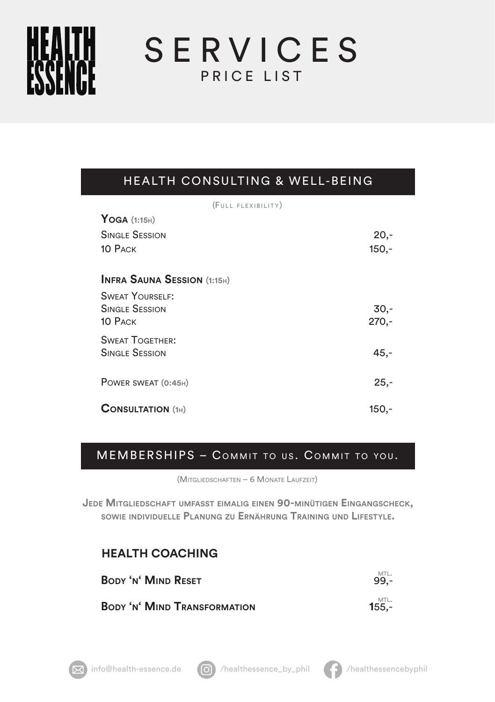SERVICES PRICE LIST

## HEALTH CONSULTING & WELL-BEING

| (FULL FLEXIBILITY)                 |         |
|------------------------------------|---------|
| $Y$ OGA (1:15H)                    |         |
| Single Session                     | $20,-$  |
| 10 Раск                            | $150 -$ |
| <b>INFRA SAUNA SESSION (1:15H)</b> |         |
| <b>SWEAT YOURSELF:</b>             |         |
| <b>SINGLE SESSION</b>              | $30 -$  |
| 10 PACK                            | $270 -$ |
| <b>SWEAT TOGETHER:</b>             |         |
| <b>SINGLE SESSION</b>              | $45,-$  |
|                                    |         |
| POWER SWEAT (0:45H)                | $25 -$  |
|                                    |         |
| <b>CONSULTATION (1H)</b>           | $150 -$ |
|                                    |         |

## MEMBERSHIPS - COMMIT TO US. COMMIT TO YOU.

(Mitgliedschaften – 6 Monate Laufzeit)

**Jede Mitgliedschaft umfasst eimalig einen 90-minütigen Eingangscheck, sowie individuelle Planung zu Ernährung Training und Lifestyle.**

## **HEALTH COACHING**

**Body 'n' Mind Reset** 99,-

**BODY 'N' MIND TRANSFORMATION**